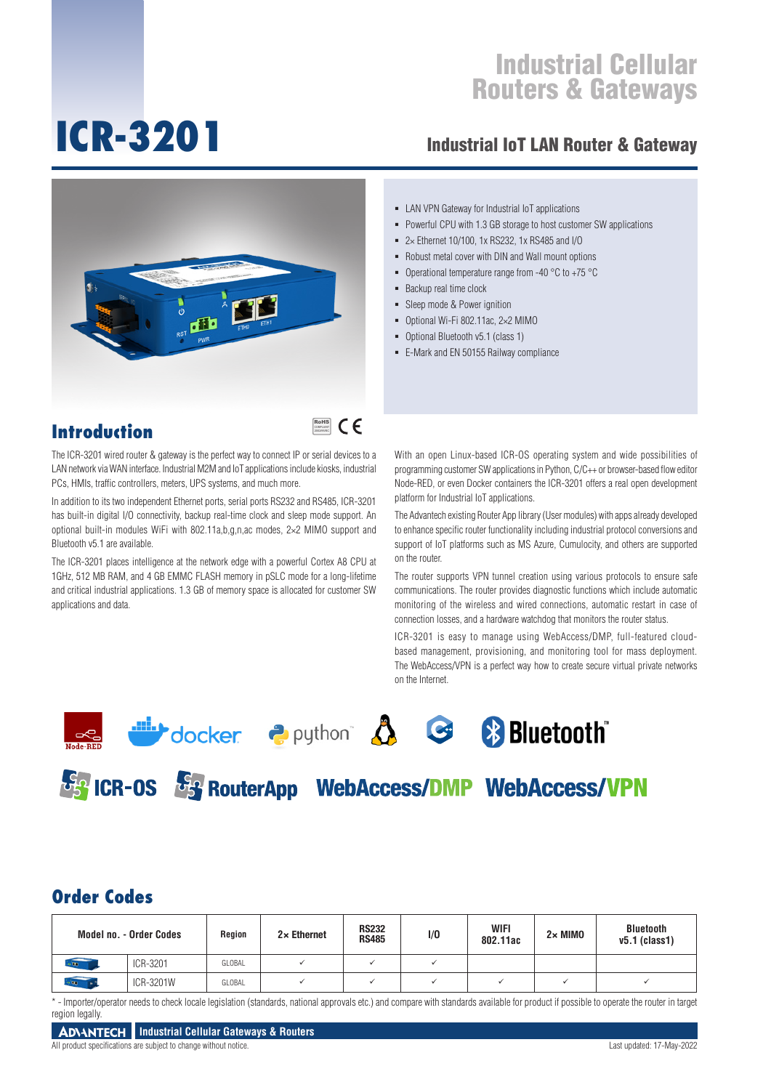# **ICR-3201**

### Industrial IoT LAN Router & Gateway



**Introduction**

## RoHS **COMPLIANT** 2002/95/EC

The ICR-3201 wired router & gateway is the perfect way to connect IP or serial devices to a LAN network via WAN interface. Industrial M2M and IoT applications include kiosks, industrial PCs, HMIs, traffic controllers, meters, UPS systems, and much more.

In addition to its two independent Ethernet ports, serial ports RS232 and RS485, ICR-3201 has built-in digital I/O connectivity, backup real-time clock and sleep mode support. An optional built-in modules WiFi with 802.11a,b,g,n,ac modes, 2×2 MIMO support and Bluetooth v5.1 are available.

The ICR-3201 places intelligence at the network edge with a powerful Cortex A8 CPU at 1GHz, 512 MB RAM, and 4 GB EMMC FLASH memory in pSLC mode for a long-lifetime and critical industrial applications. 1.3 GB of memory space is allocated for customer SW applications and data.

- LAN VPN Gateway for Industrial IoT applications
- Powerful CPU with 1.3 GB storage to host customer SW applications
- 2× Ethernet 10/100, 1x RS232, 1x RS485 and I/O
- Robust metal cover with DIN and Wall mount options
- Operational temperature range from -40  $^{\circ}$ C to +75  $^{\circ}$ C
- Backup real time clock
- Sleep mode & Power ignition
- Optional Wi-Fi 802.11ac, 2×2 MIMO
- Optional Bluetooth v5.1 (class 1)
- E-Mark and EN 50155 Railway compliance

With an open Linux-based ICR-OS operating system and wide possibilities of programming customer SW applications in Python, C/C++ or browser-based flow editor Node-RED, or even Docker containers the ICR-3201 offers a real open development platform for Industrial IoT applications.

The Advantech existing Router App library (User modules) with apps already developed to enhance specific router functionality including industrial protocol conversions and support of IoT platforms such as MS Azure, Cumulocity, and others are supported on the router.

The router supports VPN tunnel creation using various protocols to ensure safe communications. The router provides diagnostic functions which include automatic monitoring of the wireless and wired connections, automatic restart in case of connection losses, and a hardware watchdog that monitors the router status.

ICR-3201 is easy to manage using WebAccess/DMP, full-featured cloudbased management, provisioning, and monitoring tool for mass deployment. The WebAccess/VPN is a perfect way how to create secure virtual private networks on the Internet.





**BES ICR-0S BES RouterApp WebAccess/DMP WebAccess/VPN** 

#### **Order Codes**

|              | Model no. - Order Codes | Region | $2 \times$ Ethernet | <b>RS232</b><br><b>RS485</b> | 1/0 | <b>WIFI</b><br>802.11ac | $2 \times$ MIMO | <b>Bluetooth</b><br>$v5.1$ (class1) |
|--------------|-------------------------|--------|---------------------|------------------------------|-----|-------------------------|-----------------|-------------------------------------|
| $\alpha$ and | ICR-3201                | GLOBAL |                     |                              |     |                         |                 |                                     |
| oʻtma        | ICR-3201W               | GLOBAL |                     |                              |     |                         |                 |                                     |

\* - Importer/operator needs to check locale legislation (standards, national approvals etc.) and compare with standards available for product if possible to operate the router in target region legally.



All product specifications are subject to change without notice. Last updated: 17-May-2022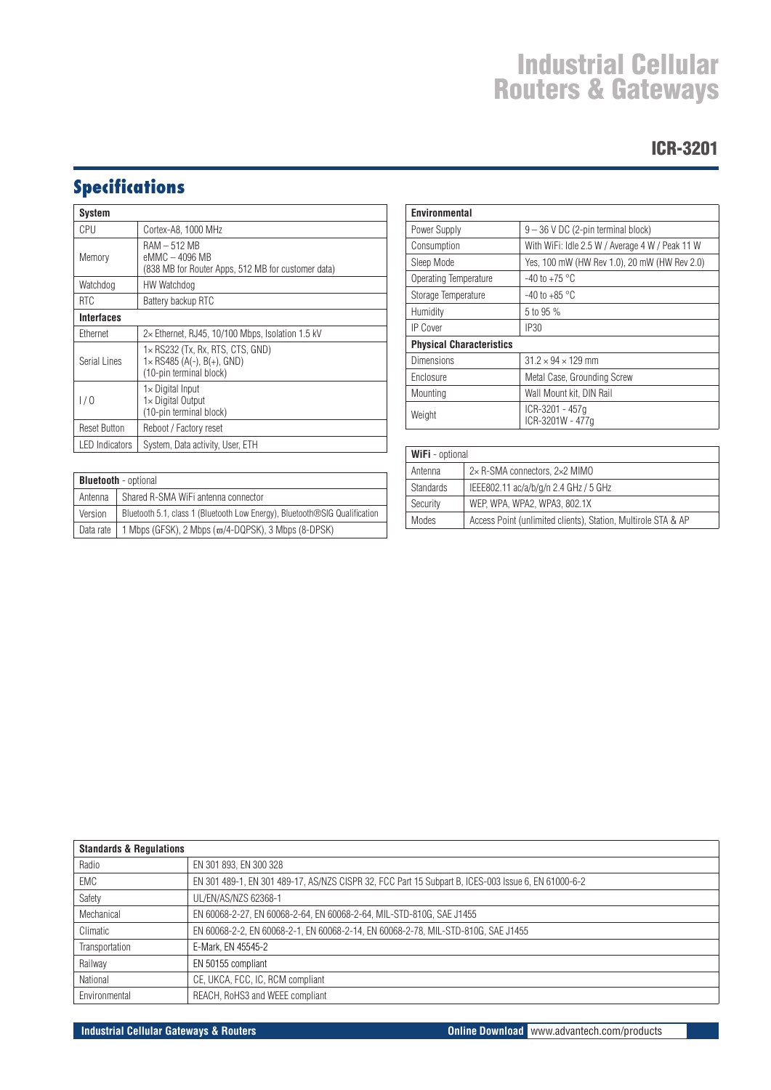#### ICR-3201

## **Specifications**

| System                |                                                                                                           |  |  |
|-----------------------|-----------------------------------------------------------------------------------------------------------|--|--|
| CPU                   | Cortex-A8, 1000 MHz                                                                                       |  |  |
| Memory                | $RAM - 512 MB$<br>eMMC - 4096 MB<br>(838 MB for Router Apps, 512 MB for customer data)                    |  |  |
| Watchdog              | HW Watchdog                                                                                               |  |  |
| <b>RTC</b>            | Battery backup RTC                                                                                        |  |  |
| Interfaces            |                                                                                                           |  |  |
| Ethernet              | $2\times$ Ethernet, RJ45, 10/100 Mbps, Isolation 1.5 kV                                                   |  |  |
| Serial Lines          | $1 \times$ RS232 (Tx, Rx, RTS, CTS, GND)<br>$1 \times$ RS485 (A(-), B(+), GND)<br>(10-pin terminal block) |  |  |
| 1/0                   | 1×Digital Input<br>1× Digital Output<br>(10-pin terminal block)                                           |  |  |
| <b>Reset Button</b>   | Reboot / Factory reset                                                                                    |  |  |
| <b>LED</b> Indicators | System, Data activity, User, ETH                                                                          |  |  |

| Environmental                   |                                                 |  |  |
|---------------------------------|-------------------------------------------------|--|--|
| Power Supply                    | $9 - 36$ V DC (2-pin terminal block)            |  |  |
| Consumption                     | With WiFi: Idle 2.5 W / Average 4 W / Peak 11 W |  |  |
| Sleep Mode                      | Yes, 100 mW (HW Rev 1.0), 20 mW (HW Rev 2.0)    |  |  |
| Operating Temperature           | $-40$ to $+75$ °C                               |  |  |
| Storage Temperature             | -40 to +85 $^{\circ}$ C                         |  |  |
| Humidity                        | 5 to 95 %                                       |  |  |
| <b>IP Cover</b>                 | <b>IP30</b>                                     |  |  |
| <b>Physical Characteristics</b> |                                                 |  |  |
| Dimensions                      | $31.2 \times 94 \times 129$ mm                  |  |  |
| Enclosure                       | Metal Case, Grounding Screw                     |  |  |
| Mounting                        | Wall Mount kit, DIN Rail                        |  |  |
| Weight                          | ICR-3201 - 457q<br>ICR-3201W - 477q             |  |  |

|           |                                                                            | Ar  |
|-----------|----------------------------------------------------------------------------|-----|
|           | <b>Bluetooth</b> - optional                                                | Sti |
| Antenna   | Shared R-SMA WiFi antenna connector                                        | Se  |
| Version   | Bluetooth 5.1, class 1 (Bluetooth Low Energy), Bluetooth®SIG Qualification | M   |
| Data rate | 1 Mbps (GFSK), 2 Mbps ( $\varpi$ /4-DQPSK), 3 Mbps (8-DPSK)                |     |

| WiFi - optional  |                                                               |  |  |
|------------------|---------------------------------------------------------------|--|--|
| Antenna          | 2×R-SMA connectors, 2×2 MIMO                                  |  |  |
| <b>Standards</b> | IEEE802.11 ac/a/b/g/n 2.4 GHz / 5 GHz                         |  |  |
| Security         | WEP, WPA, WPA2, WPA3, 802.1X                                  |  |  |
| Modes            | Access Point (unlimited clients), Station, Multirole STA & AP |  |  |

| <b>Standards &amp; Requiations</b> |                                                                                                     |  |  |
|------------------------------------|-----------------------------------------------------------------------------------------------------|--|--|
| Radio                              | EN 301 893, EN 300 328                                                                              |  |  |
| EMC                                | EN 301 489-1, EN 301 489-17, AS/NZS CISPR 32, FCC Part 15 Subpart B, ICES-003 Issue 6, EN 61000-6-2 |  |  |
| Safety                             | UL/EN/AS/NZS 62368-1                                                                                |  |  |
| Mechanical                         | EN 60068-2-27, EN 60068-2-64, EN 60068-2-64, MIL-STD-810G, SAE J1455                                |  |  |
| Climatic                           | EN 60068-2-2, EN 60068-2-1, EN 60068-2-14, EN 60068-2-78, MIL-STD-810G, SAE J1455                   |  |  |
| Transportation                     | E-Mark, EN 45545-2                                                                                  |  |  |
| Railway                            | EN 50155 compliant                                                                                  |  |  |
| National                           | CE, UKCA, FCC, IC, RCM compliant                                                                    |  |  |
| Environmental                      | REACH, RoHS3 and WEEE compliant                                                                     |  |  |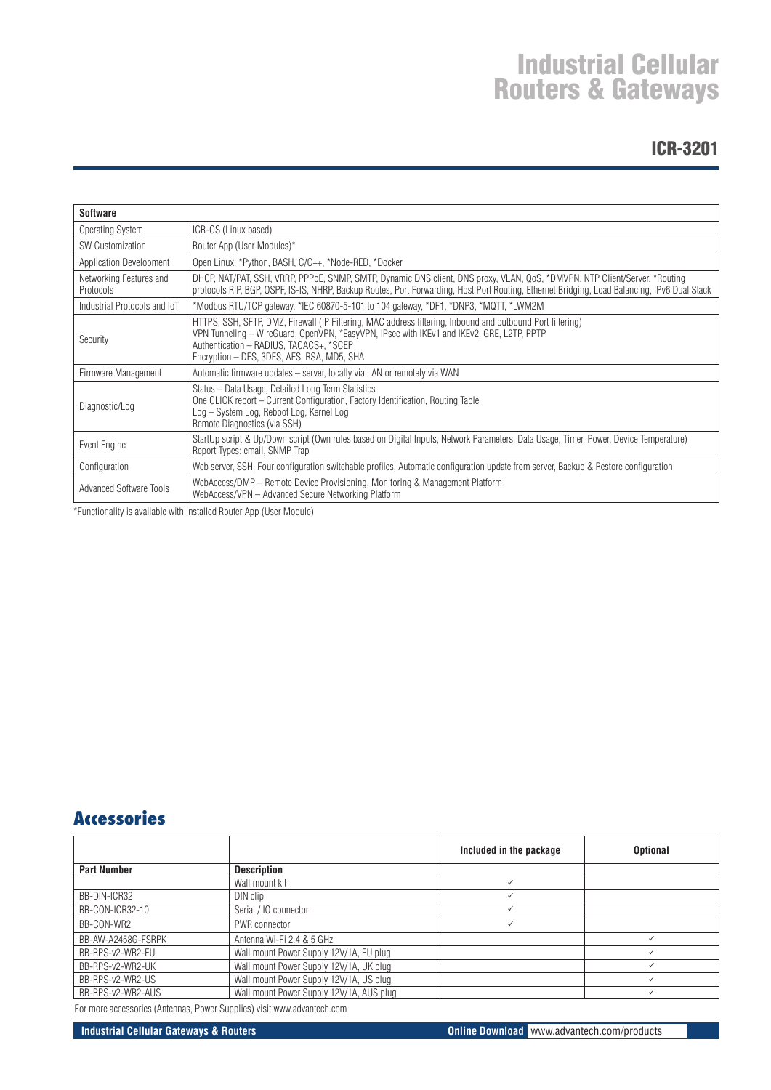#### ICR-3201

| <b>Software</b>                      |                                                                                                                                                                                                                                                                                                  |
|--------------------------------------|--------------------------------------------------------------------------------------------------------------------------------------------------------------------------------------------------------------------------------------------------------------------------------------------------|
|                                      |                                                                                                                                                                                                                                                                                                  |
| Operating System                     | ICR-OS (Linux based)                                                                                                                                                                                                                                                                             |
| <b>SW Customization</b>              | Router App (User Modules)*                                                                                                                                                                                                                                                                       |
| Application Development              | Open Linux, *Python, BASH, C/C++, *Node-RED, *Docker                                                                                                                                                                                                                                             |
| Networking Features and<br>Protocols | DHCP, NAT/PAT, SSH, VRRP, PPPoE, SNMP, SMTP, Dynamic DNS client, DNS proxy, VLAN, QoS, *DMVPN, NTP Client/Server, *Routing<br>protocols RIP, BGP, OSPF, IS-IS, NHRP, Backup Routes, Port Forwarding, Host Port Routing, Ethernet Bridging, Load Balancing, IPv6 Dual Stack                       |
| Industrial Protocols and IoT         | *Modbus RTU/TCP gateway, *IEC 60870-5-101 to 104 gateway, *DF1, *DNP3, *MQTT, *LWM2M                                                                                                                                                                                                             |
| Security                             | HTTPS, SSH, SFTP, DMZ, Firewall (IP Filtering, MAC address filtering, Inbound and outbound Port filtering)<br>VPN Tunneling - WireGuard, OpenVPN, *EasyVPN, IPsec with IKEv1 and IKEv2, GRE, L2TP, PPTP<br>Authentication - RADIUS, TACACS+, *SCEP<br>Encryption - DES, 3DES, AES, RSA, MD5, SHA |
| Firmware Management                  | Automatic firmware updates - server, locally via LAN or remotely via WAN                                                                                                                                                                                                                         |
| Diagnostic/Log                       | Status - Data Usage, Detailed Long Term Statistics<br>One CLICK report – Current Configuration, Factory Identification, Routing Table<br>Log - System Log, Reboot Log, Kernel Log<br>Remote Diagnostics (via SSH)                                                                                |
| Event Engine                         | StartUp script & Up/Down script (Own rules based on Digital Inputs, Network Parameters, Data Usage, Timer, Power, Device Temperature)<br>Report Types: email, SNMP Trap                                                                                                                          |
| Configuration                        | Web server, SSH, Four configuration switchable profiles, Automatic configuration update from server, Backup & Restore configuration                                                                                                                                                              |
| <b>Advanced Software Tools</b>       | WebAccess/DMP – Remote Device Provisioning, Monitoring & Management Platform<br>WebAccess/VPN - Advanced Secure Networking Platform                                                                                                                                                              |

\*Functionality is available with installed Router App (User Module)

### **Accessories**

|                    |                                          | Included in the package | <b>Optional</b> |
|--------------------|------------------------------------------|-------------------------|-----------------|
| <b>Part Number</b> | <b>Description</b>                       |                         |                 |
|                    | Wall mount kit                           |                         |                 |
| BB-DIN-ICR32       | DIN clip                                 |                         |                 |
| BB-CON-ICR32-10    | Serial / IO connector                    |                         |                 |
| BB-CON-WR2         | PWR connector                            |                         |                 |
| BB-AW-A2458G-FSRPK | Antenna Wi-Fi 2.4 & 5 GHz                |                         |                 |
| BB-RPS-v2-WR2-EU   | Wall mount Power Supply 12V/1A, EU plug  |                         |                 |
| BB-RPS-v2-WR2-UK   | Wall mount Power Supply 12V/1A, UK plug  |                         |                 |
| BB-RPS-v2-WR2-US   | Wall mount Power Supply 12V/1A, US plug  |                         |                 |
| BB-RPS-v2-WR2-AUS  | Wall mount Power Supply 12V/1A, AUS plug |                         |                 |

For more accessories (Antennas, Power Supplies) visit www.advantech.com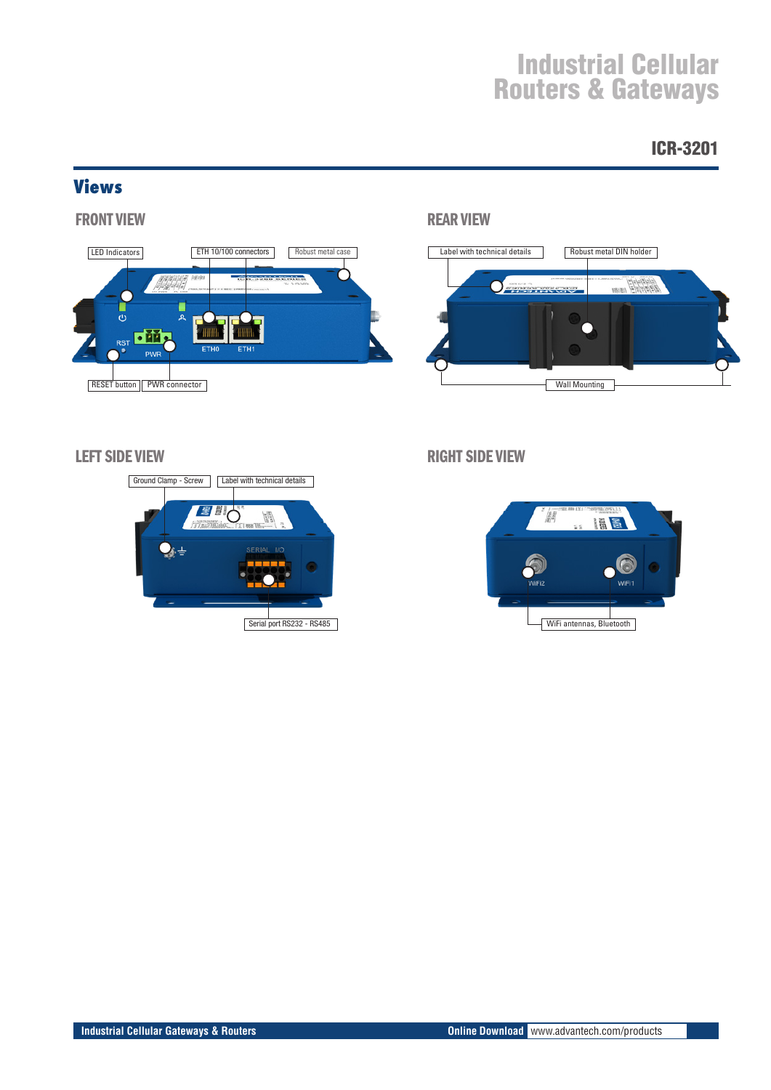### ICR-3201

#### **Views**



#### FRONT VIEW NEAR VIEW REAR VIEW NEAR VIEW REAR VIEW REAR VIEW REAR VIEW REAR VIEW REAR VIEW REAR VIEW REAR VIEW





LEFT SIDE VIEW THE RIGHT SIDE VIEW RIGHT SIDE VIEW

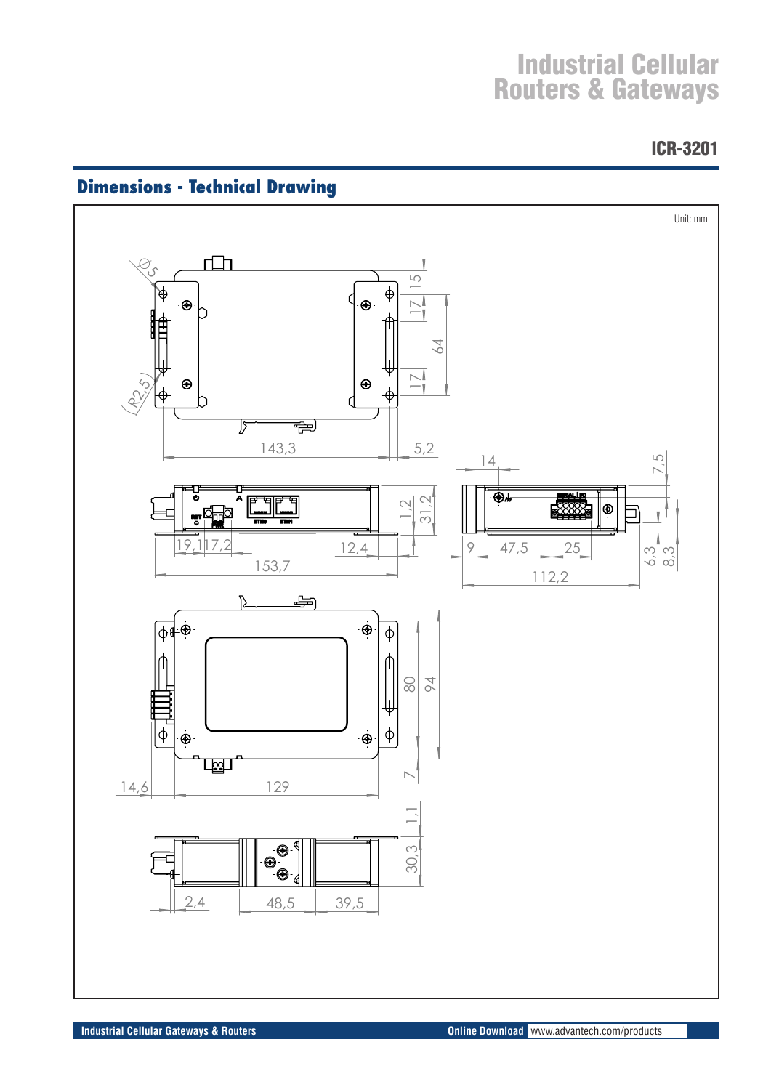ICR-3201



## **Dimensions - Technical Drawing**